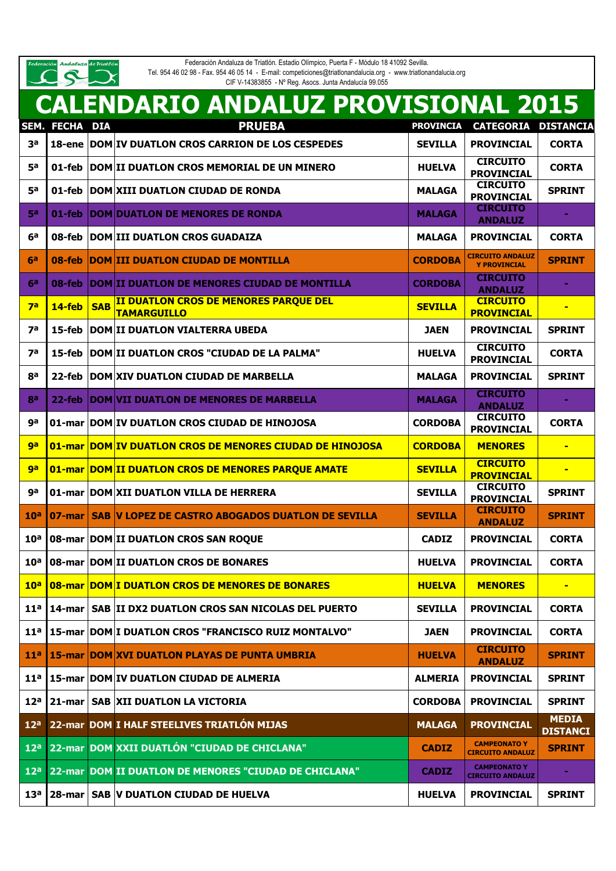ederación Andaluza de Triatlón

Federación Andaluza de Triatlón. Estadio Olímpico, Puerta F - Módulo 18 41092 Sevilla. Tel. 954 46 02 98 - Fax. 954 46 05 14 - E-mail: competiciones@triatlonandalucia.org - www.triatlonandalucia.org

| Tel. 954 46 02 98 - Fax. 954 46 05 14 - E-mail: competiciones@triationandalucia.org - www.triationandalucia.or |  |
|----------------------------------------------------------------------------------------------------------------|--|
| CIF V-14383855 - Nº Reg. Asocs. Junta Andalucía 99.055                                                         |  |

|                 |                          |            | <b>CALENDARIO ANDALUZ PROVISIONAL 2015</b>                                |                  |                                                |                                 |
|-----------------|--------------------------|------------|---------------------------------------------------------------------------|------------------|------------------------------------------------|---------------------------------|
|                 | SEM. FECHA DIA           |            | <b>PRUEBA</b>                                                             | <b>PROVINCIA</b> | CATEGORIA DISTANCIA                            |                                 |
| 3 <sup>a</sup>  |                          |            | 18-ene DOM IV DUATLON CROS CARRION DE LOS CESPEDES                        | <b>SEVILLA</b>   | <b>PROVINCIAL</b>                              | <b>CORTA</b>                    |
| 5а              | 01-feb                   |            | DOM II DUATLON CROS MEMORIAL DE UN MINERO                                 | <b>HUELVA</b>    | <b>CIRCUITO</b><br><b>PROVINCIAL</b>           | <b>CORTA</b>                    |
| 5а              |                          |            | 01-feb   DOM XIII DUATLON CIUDAD DE RONDA                                 | <b>MALAGA</b>    | <b>CIRCUITO</b><br><b>PROVINCIAL</b>           | <b>SPRINT</b>                   |
| 50              |                          |            | 01-feb   DOM   DUATLON DE MENORES DE RONDA                                | <b>MALAGA</b>    | <b>CIRCUITO</b><br><b>ANDALUZ</b>              |                                 |
| 6а              |                          |            | 08-feb   DOM III DUATLON CROS GUADAIZA                                    | <b>MALAGA</b>    | <b>PROVINCIAL</b>                              | <b>CORTA</b>                    |
| 6a              |                          |            | 08-feb  DOM III DUATLON CIUDAD DE MONTILLA                                | <b>CORDOBA</b>   | <b>CIRCUITO ANDALUZ</b><br><b>Y PROVINCIAL</b> | <b>SPRINT</b>                   |
| 6a              |                          |            | 08-feb   DOM II DUATLON DE MENORES CIUDAD DE MONTILLA                     | <b>CORDOBA</b>   | <b>CIRCUITO</b><br><b>ANDALUZ</b>              |                                 |
| 7a              | $14$ -feb                | <b>SAB</b> | II DUATLON CROS DE MENORES PARQUE DEL<br><b>TAMARGUILLO</b>               | <b>SEVILLA</b>   | <b>CIRCUITO</b><br><b>PROVINCIAL</b>           | $\blacksquare$                  |
| 7а              | 15-feb                   |            | <b>DOM II DUATLON VIALTERRA UBEDA</b>                                     | <b>JAEN</b>      | <b>PROVINCIAL</b>                              | <b>SPRINT</b>                   |
| <b>7a</b>       | 15-feb                   |            | <b>DOM II DUATLON CROS "CIUDAD DE LA PALMA"</b>                           | <b>HUELVA</b>    | <b>CIRCUITO</b><br><b>PROVINCIAL</b>           | <b>CORTA</b>                    |
| 8a              |                          |            | 22-feb   DOM XIV DUATLON CIUDAD DE MARBELLA                               | <b>MALAGA</b>    | <b>PROVINCIAL</b>                              | <b>SPRINT</b>                   |
| ga              |                          |            | 22-feb   DOM VII DUATLON DE MENORES DE MARBELLA                           | <b>MALAGA</b>    | <b>CIRCUITO</b><br><b>ANDALUZ</b>              |                                 |
| ga              |                          |            | 01-mar DOM IV DUATLON CROS CIUDAD DE HINOJOSA                             | <b>CORDOBA</b>   | <b>CIRCUITO</b><br><b>PROVINCIAL</b>           | <b>CORTA</b>                    |
| ga              |                          |            | 01-mar DOM IV DUATLON CROS DE MENORES CIUDAD DE HINOJOSA                  | <b>CORDOBA</b>   | <b>MENORES</b>                                 | $\blacksquare$                  |
| <b>ga</b>       |                          |            | <b>01-mar DOM II DUATLON CROS DE MENORES PARQUE AMATE</b>                 | <b>SEVILLA</b>   | <b>CIRCUITO</b><br><b>PROVINCIAL</b>           |                                 |
| ga              |                          |            | 01-mar DOM XII DUATLON VILLA DE HERRERA                                   | <b>SEVILLA</b>   | <b>CIRCUITO</b><br><b>PROVINCIAL</b>           | <b>SPRINT</b>                   |
| 10 <sup>a</sup> | 07-mar                   |            | <b>SAB V LOPEZ DE CASTRO ABOGADOS DUATLON DE SEVILLA</b>                  | <b>SEVILLA</b>   | <b>CIRCUITO</b><br><b>ANDALUZ</b>              | <b>SPRINT</b>                   |
| 10 <sup>a</sup> |                          |            | 08-mar DOM II DUATLON CROS SAN ROQUE                                      | <b>CADIZ</b>     | <b>PROVINCIAL</b>                              | <b>CORTA</b>                    |
| 10 <sup>a</sup> |                          |            | 08-mar DOM II DUATLON CROS DE BONARES                                     | <b>HUELVA</b>    | <b>PROVINCIAL</b>                              | <b>CORTA</b>                    |
| 10 <sup>a</sup> |                          |            | <b>108-mar DOM I DUATLON CROS DE MENORES DE BONARES</b>                   | <b>HUELVA</b>    | <b>MENORES</b>                                 | $\blacksquare$                  |
| 11 <sup>a</sup> | 14-mar                   |            | SAB II DX2 DUATLON CROS SAN NICOLAS DEL PUERTO                            | <b>SEVILLA</b>   | <b>PROVINCIAL</b>                              | <b>CORTA</b>                    |
|                 |                          |            | 11 <sup>a</sup>   15-mar   DOM   I DUATLON CROS "FRANCISCO RUIZ MONTALVO" | <b>JAEN</b>      | <b>PROVINCIAL</b>                              | <b>CORTA</b>                    |
| 11 <sup>a</sup> |                          |            | <b>15-mar DOM XVI DUATLON PLAYAS DE PUNTA UMBRIA</b>                      | <b>HUELVA</b>    | <b>CIRCUITO</b><br><b>ANDALUZ</b>              | <b>SPRINT</b>                   |
| 11 <sup>a</sup> |                          |            | 15-mar   DOM   IV DUATLON CIUDAD DE ALMERIA                               | <b>ALMERIA</b>   | <b>PROVINCIAL</b>                              | <b>SPRINT</b>                   |
| 12 <sup>a</sup> | $21$ -mar $\blacksquare$ |            | <b>SAB XII DUATLON LA VICTORIA</b>                                        | <b>CORDOBA</b>   | <b>PROVINCIAL</b>                              | <b>SPRINT</b>                   |
| 12 <sup>a</sup> |                          |            | 22-mar DOM I HALF STEELIVES TRIATLÓN MIJAS                                | <b>MALAGA</b>    | <b>PROVINCIAL</b>                              | <b>MEDIA</b><br><b>DISTANCI</b> |
| 12 <sup>a</sup> |                          |            | 22-mar DOM XXII DUATLÓN "CIUDAD DE CHICLANA"                              | <b>CADIZ</b>     | <b>CAMPEONATO Y</b><br><b>CIRCUITO ANDALUZ</b> | <b>SPRINT</b>                   |
| 12 <sup>a</sup> |                          |            | 22-mar DOM II DUATLON DE MENORES "CIUDAD DE CHICLANA"                     | <b>CADIZ</b>     | <b>CAMPEONATO Y</b><br><b>CIRCUITO ANDALUZ</b> | ٠                               |
| 13 <sup>a</sup> |                          |            | 28-mar   SAB   V DUATLON CIUDAD DE HUELVA                                 | <b>HUELVA</b>    | <b>PROVINCIAL</b>                              | <b>SPRINT</b>                   |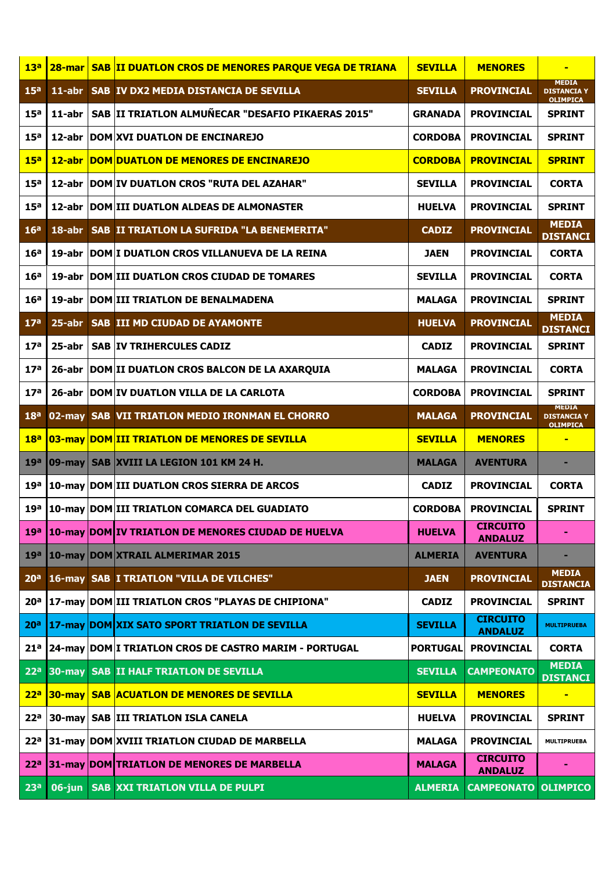| 13 <sup>a</sup> | $28$ -mar  | <b>SAB II DUATLON CROS DE MENORES PARQUE VEGA DE TRIANA</b>        | <b>SEVILLA</b>  | <b>MENORES</b>                    |                                                       |
|-----------------|------------|--------------------------------------------------------------------|-----------------|-----------------------------------|-------------------------------------------------------|
| 15 <sup>a</sup> | $11$ -abr  | SAB IV DX2 MEDIA DISTANCIA DE SEVILLA                              | <b>SEVILLA</b>  | <b>PROVINCIAL</b>                 | <b>MEDIA</b><br><b>DISTANCIA Y</b><br><b>OLIMPICA</b> |
| 15 <sup>a</sup> | 11-abr     | SAB II TRIATLON ALMUÑECAR "DESAFIO PIKAERAS 2015"                  | <b>GRANADA</b>  | <b>PROVINCIAL</b>                 | <b>SPRINT</b>                                         |
| 15 <sup>a</sup> |            | 12-abr   DOM XVI DUATLON DE ENCINAREJO                             | <b>CORDOBA</b>  | <b>PROVINCIAL</b>                 | <b>SPRINT</b>                                         |
| 15 <sup>a</sup> | $12$ -abr  | <b>DOM DUATLON DE MENORES DE ENCINAREJO</b>                        | <b>CORDOBA</b>  | <b>PROVINCIAL</b>                 | <b>SPRINT</b>                                         |
| 15 <sup>a</sup> |            | 12-abr   DOM   IV DUATLON CROS "RUTA DEL AZAHAR"                   | <b>SEVILLA</b>  | <b>PROVINCIAL</b>                 | <b>CORTA</b>                                          |
| 15 <sup>a</sup> |            | 12-abr DOM III DUATLON ALDEAS DE ALMONASTER                        | <b>HUELVA</b>   | <b>PROVINCIAL</b>                 | <b>SPRINT</b>                                         |
| 16 <sup>a</sup> | $18$ -abr  | SAB II TRIATLON LA SUFRIDA "LA BENEMERITA"                         | <b>CADIZ</b>    | <b>PROVINCIAL</b>                 | <b>MEDIA</b><br><b>DISTANCI</b>                       |
| 16 <sup>a</sup> |            | 19-abr DOM I DUATLON CROS VILLANUEVA DE LA REINA                   | <b>JAEN</b>     | <b>PROVINCIAL</b>                 | <b>CORTA</b>                                          |
| 16 <sup>a</sup> |            | 19-abr   DOM   III DUATLON CROS CIUDAD DE TOMARES                  | <b>SEVILLA</b>  | <b>PROVINCIAL</b>                 | <b>CORTA</b>                                          |
| 16 <sup>a</sup> |            | 19-abr DOM III TRIATLON DE BENALMADENA                             | <b>MALAGA</b>   | <b>PROVINCIAL</b>                 | <b>SPRINT</b>                                         |
| 17 <sup>a</sup> | $25$ -abr  | <b>SAB III MD CIUDAD DE AYAMONTE</b>                               | <b>HUELVA</b>   | <b>PROVINCIAL</b>                 | <b>MEDIA</b><br><b>DISTANCI</b>                       |
| 17 <sup>a</sup> | 25-abr     | <b>SAB IV TRIHERCULES CADIZ</b>                                    | <b>CADIZ</b>    | <b>PROVINCIAL</b>                 | <b>SPRINT</b>                                         |
| 17 <sup>a</sup> |            | 26-abr DOM II DUATLON CROS BALCON DE LA AXARQUIA                   | <b>MALAGA</b>   | <b>PROVINCIAL</b>                 | <b>CORTA</b>                                          |
| 17 <sup>a</sup> |            | 26-abr DOM IV DUATLON VILLA DE LA CARLOTA                          | <b>CORDOBA</b>  | <b>PROVINCIAL</b>                 | <b>SPRINT</b>                                         |
| 18 <sup>a</sup> | $02$ -may  | SAB VII TRIATLON MEDIO IRONMAN EL CHORRO                           | <b>MALAGA</b>   | <b>PROVINCIAL</b>                 | <b>MEDIA</b><br><b>DISTANCIA Y</b><br><b>OLIMPICA</b> |
| 18 <sup>a</sup> |            | 03-may DOM III TRIATLON DE MENORES DE SEVILLA                      | <b>SEVILLA</b>  | <b>MENORES</b>                    | $\blacksquare$                                        |
| 19a             | 09-may     | SAB XVIII LA LEGION 101 KM 24 H.                                   | <b>MALAGA</b>   | <b>AVENTURA</b>                   |                                                       |
| 19a             |            | 10-may DOM III DUATLON CROS SIERRA DE ARCOS                        | <b>CADIZ</b>    | <b>PROVINCIAL</b>                 | <b>CORTA</b>                                          |
|                 |            | 19 <sup>a</sup>   10-may   DOM   III TRIATLON COMARCA DEL GUADIATO | <b>CORDOBA</b>  | <b>PROVINCIAL</b>                 | <b>SPRINT</b>                                         |
| 19 <sup>a</sup> |            | 10-may DOM IV TRIATLON DE MENORES CIUDAD DE HUELVA                 | <b>HUELVA</b>   | <b>CIRCUITO</b><br><b>ANDALUZ</b> |                                                       |
| 19 <sup>a</sup> | $10$ -mav  | <b>DOM XTRAIL ALMERIMAR 2015</b>                                   | ALMERIA         | <b>AVENTURA</b>                   |                                                       |
| 20 <sup>a</sup> | $16$ -may  | <b>SAB I TRIATLON "VILLA DE VILCHES"</b>                           | <b>JAEN</b>     | <b>PROVINCIAL</b>                 | <b>MEDIA</b><br><b>DISTANCIA</b>                      |
| 20 <sup>a</sup> |            | 17-may DOM III TRIATLON CROS "PLAYAS DE CHIPIONA"                  | <b>CADIZ</b>    | <b>PROVINCIAL</b>                 | <b>SPRINT</b>                                         |
| 20 <sup>a</sup> |            | 17-may DOM XIX SATO SPORT TRIATLON DE SEVILLA                      | <b>SEVILLA</b>  | <b>CIRCUITO</b><br><b>ANDALUZ</b> | <b>MULTIPRUEBA</b>                                    |
| 21 <sup>a</sup> | 24-mav     | <b>DOM I TRIATLON CROS DE CASTRO MARIM - PORTUGAL</b>              | <b>PORTUGAL</b> | <b>PROVINCIAL</b>                 | <b>CORTA</b>                                          |
| 22 <sup>a</sup> | $30 - max$ | <b>SAB II HALF TRIATLON DE SEVILLA</b>                             | <b>SEVILLA</b>  | <b>CAMPEONATO</b>                 | <b>MEDIA</b><br><b>DISTANCI</b>                       |
| 22 <sup>a</sup> | $ 30-$ mav | <b>SAB ACUATLON DE MENORES DE SEVILLA</b>                          | <b>SEVILLA</b>  | <b>MENORES</b>                    | $\blacksquare$                                        |
| 22 <sup>a</sup> | $30$ -may  | <b>SAB III TRIATLON ISLA CANELA</b>                                | <b>HUELVA</b>   | <b>PROVINCIAL</b>                 | <b>SPRINT</b>                                         |
| 22 <sup>a</sup> |            | 31-may DOM XVIII TRIATLON CIUDAD DE MARBELLA                       | <b>MALAGA</b>   | <b>PROVINCIAL</b>                 | MULTIPRUEBA                                           |
| 22 <sup>a</sup> |            | 31-may DOM TRIATLON DE MENORES DE MARBELLA                         | <b>MALAGA</b>   | <b>CIRCUITO</b><br><b>ANDALUZ</b> | ٠                                                     |
| 23 <sup>a</sup> | $06$ -jun  | <b>SAB XXI TRIATLON VILLA DE PULPI</b>                             | <b>ALMERIA</b>  | <b>CAMPEONATO</b>                 | <b>OLIMPICO</b>                                       |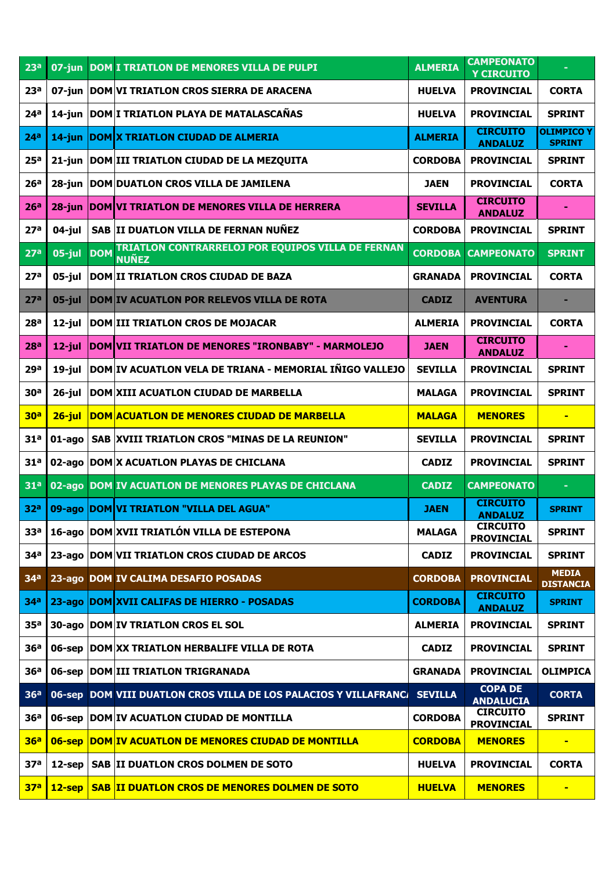| 23 <sup>a</sup> |           | 07-jun DOM I TRIATLON DE MENORES VILLA DE PULPI                                 | <b>ALMERIA</b> | <b>CAMPEONATO</b><br><b>Y CIRCUITO</b> |                                    |
|-----------------|-----------|---------------------------------------------------------------------------------|----------------|----------------------------------------|------------------------------------|
| 23 <sup>a</sup> |           | 07-jun   DOM VI TRIATLON CROS SIERRA DE ARACENA                                 | <b>HUELVA</b>  | <b>PROVINCIAL</b>                      | <b>CORTA</b>                       |
| 24 <sup>a</sup> |           | 14-jun DOM I TRIATLON PLAYA DE MATALASCAÑAS                                     | <b>HUELVA</b>  | <b>PROVINCIAL</b>                      | <b>SPRINT</b>                      |
| 24 <sup>a</sup> | $14$ -jun | <b>DOM X TRIATLON CIUDAD DE ALMERIA</b>                                         | ALMERIA        | <b>CIRCUITO</b><br><b>ANDALUZ</b>      | <b>OLIMPICO Y</b><br><b>SPRINT</b> |
| 25 <sup>a</sup> |           | 21-jun   DOM III TRIATLON CIUDAD DE LA MEZQUITA                                 | <b>CORDOBA</b> | <b>PROVINCIAL</b>                      | <b>SPRINT</b>                      |
| 26 <sup>a</sup> |           | 28-jun   DOM   DUATLON CROS VILLA DE JAMILENA                                   | <b>JAEN</b>    | <b>PROVINCIAL</b>                      | <b>CORTA</b>                       |
| 26 <sup>a</sup> | $28$ -jun | <b>DOM VI TRIATLON DE MENORES VILLA DE HERRERA</b>                              | <b>SEVILLA</b> | <b>CIRCUITO</b><br><b>ANDALUZ</b>      |                                    |
| 27 <sup>a</sup> | $04$ -jul | SAB II DUATLON VILLA DE FERNAN NUÑEZ                                            | <b>CORDOBA</b> | <b>PROVINCIAL</b>                      | <b>SPRINT</b>                      |
| 27 <sup>a</sup> | $05$ -jul | TRIATLON CONTRARRELOJ POR EQUIPOS VILLA DE FERNAN<br><b>DOM</b><br><b>NUÑEZ</b> | <b>CORDOBA</b> | <b>CAMPEONATO</b>                      | <b>SPRINT</b>                      |
| 27 <sup>a</sup> | $05$ -jul | <b>DOM II TRIATLON CROS CIUDAD DE BAZA</b>                                      | <b>GRANADA</b> | <b>PROVINCIAL</b>                      | <b>CORTA</b>                       |
| 27 <sup>a</sup> | $05$ -jul | <b>DOM IV ACUATLON POR RELEVOS VILLA DE ROTA</b>                                | <b>CADIZ</b>   | <b>AVENTURA</b>                        |                                    |
| 28 <sup>a</sup> | $12$ -jul | <b>DOM III TRIATLON CROS DE MOJACAR</b>                                         | <b>ALMERIA</b> | <b>PROVINCIAL</b>                      | <b>CORTA</b>                       |
| 28 <sup>a</sup> | $12$ -jul | DOM VII TRIATLON DE MENORES "IRONBABY" - MARMOLEJO                              | <b>JAEN</b>    | <b>CIRCUITO</b><br><b>ANDALUZ</b>      |                                    |
| 29a             | $19$ -jul | DOM IV ACUATLON VELA DE TRIANA - MEMORIAL IÑIGO VALLEJO                         | <b>SEVILLA</b> | <b>PROVINCIAL</b>                      | <b>SPRINT</b>                      |
| 30 <sup>a</sup> | $26$ -jul | <b>DOM XIII ACUATLON CIUDAD DE MARBELLA</b>                                     | <b>MALAGA</b>  | <b>PROVINCIAL</b>                      | <b>SPRINT</b>                      |
| 30 <sup>a</sup> | $26$ -jul | <b>DOM ACUATLON DE MENORES CIUDAD DE MARBELLA</b>                               | <b>MALAGA</b>  | <b>MENORES</b>                         | $\blacksquare$                     |
| 31 <sup>a</sup> | $01$ -ago | SAB XVIII TRIATLON CROS "MINAS DE LA REUNION"                                   | <b>SEVILLA</b> | <b>PROVINCIAL</b>                      | <b>SPRINT</b>                      |
| 31 <sup>a</sup> |           | 02-ago DOM X ACUATLON PLAYAS DE CHICLANA                                        | <b>CADIZ</b>   | <b>PROVINCIAL</b>                      | <b>SPRINT</b>                      |
| 31 <sup>a</sup> | $02$ -ago | DOM IV ACUATLON DE MENORES PLAYAS DE CHICLANA                                   | <b>CADIZ</b>   | <b>CAMPEONATO</b>                      | $\blacksquare$                     |
| 32 <sup>a</sup> |           | 09-ago DOM VI TRIATLON "VILLA DEL AGUA"                                         | JAEN           | <b>CIRCUITO</b><br><b>ANDALUZ</b>      | <b>SPRINT</b>                      |
| 33 <sup>a</sup> |           | 16-ago DOM XVII TRIATLÓN VILLA DE ESTEPONA                                      | <b>MALAGA</b>  | <b>CIRCUITO</b><br><b>PROVINCIAL</b>   | <b>SPRINT</b>                      |
| 34 <sup>a</sup> |           | 23-ago DOM VII TRIATLON CROS CIUDAD DE ARCOS                                    | <b>CADIZ</b>   | <b>PROVINCIAL</b>                      | <b>SPRINT</b>                      |
| 34 <sup>a</sup> |           | 23-ago DOM IV CALIMA DESAFIO POSADAS                                            | <b>CORDOBA</b> | <b>PROVINCIAL</b>                      | <b>MEDIA</b><br><b>DISTANCIA</b>   |
| 34 <sup>a</sup> |           | 23-ago DOM XVII CALIFAS DE HIERRO - POSADAS                                     | <b>CORDOBA</b> | <b>CIRCUITO</b><br><b>ANDALUZ</b>      | <b>SPRINT</b>                      |
| 35 <sup>a</sup> |           | 30-ago   DOM   IV TRIATLON CROS EL SOL                                          | <b>ALMERIA</b> | <b>PROVINCIAL</b>                      | <b>SPRINT</b>                      |
| 36 <sup>a</sup> | 06-sep    | <b>DOM XX TRIATLON HERBALIFE VILLA DE ROTA</b>                                  | <b>CADIZ</b>   | <b>PROVINCIAL</b>                      | <b>SPRINT</b>                      |
| 36 <sup>a</sup> |           | 06-sep   DOM   III TRIATLON TRIGRANADA                                          | <b>GRANADA</b> | <b>PROVINCIAL</b>                      | <b>OLIMPICA</b>                    |
| 36 <sup>a</sup> |           | 06-sep DOM VIII DUATLON CROS VILLA DE LOS PALACIOS Y VILLAFRANC/ SEVILLA        |                | <b>COPA DE</b><br><b>ANDALUCIA</b>     | <b>CORTA</b>                       |
| 36 <sup>a</sup> |           | 06-sep   DOM IV ACUATLON CIUDAD DE MONTILLA                                     | <b>CORDOBA</b> | <b>CIRCUITO</b><br><b>PROVINCIAL</b>   | <b>SPRINT</b>                      |
| 36 <sup>a</sup> |           | 06-sep DOM IV ACUATLON DE MENORES CIUDAD DE MONTILLA                            | <b>CORDOBA</b> | <b>MENORES</b>                         | $\blacksquare$                     |
| 37 <sup>a</sup> | 12-sep    | <b>SAB II DUATLON CROS DOLMEN DE SOTO</b>                                       | <b>HUELVA</b>  | <b>PROVINCIAL</b>                      | <b>CORTA</b>                       |
| 37 <sup>a</sup> | $12$ -sep | <b>SAB II DUATLON CROS DE MENORES DOLMEN DE SOTO</b>                            | <b>HUELVA</b>  | <b>MENORES</b>                         | $\blacksquare$                     |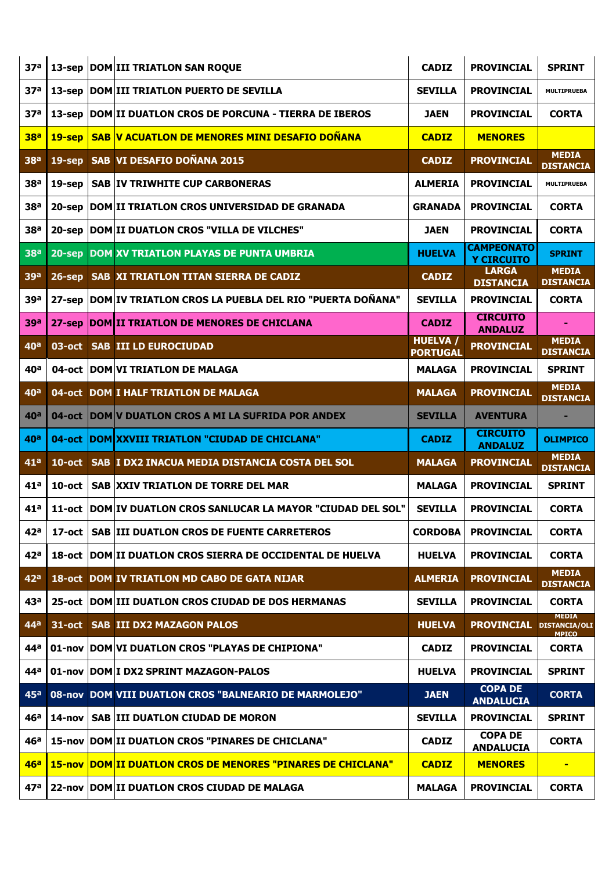| 37 <sup>a</sup>       | $13$ -sep | <b>DOM III TRIATLON SAN ROQUE</b>                                  | <b>CADIZ</b>                       | <b>PROVINCIAL</b>                      | <b>SPRINT</b>                                        |
|-----------------------|-----------|--------------------------------------------------------------------|------------------------------------|----------------------------------------|------------------------------------------------------|
| 37 <sup>a</sup>       | $13$ -sep | <b>DOM III TRIATLON PUERTO DE SEVILLA</b>                          | <b>SEVILLA</b>                     | <b>PROVINCIAL</b>                      | <b>MULTIPRUEBA</b>                                   |
| 37 <sup>a</sup>       | $13$ -sep | <b>DOM II DUATLON CROS DE PORCUNA - TIERRA DE IBEROS</b>           | <b>JAEN</b>                        | <b>PROVINCIAL</b>                      | <b>CORTA</b>                                         |
| <b>38<sup>a</sup></b> | $19$ -sep | <b>SAB V ACUATLON DE MENORES MINI DESAFIO DOÑANA</b>               | <b>CADIZ</b>                       | <b>MENORES</b>                         |                                                      |
| <b>38ª</b>            | $19$ -sep | SAB VI DESAFIO DOÑANA 2015                                         | <b>CADIZ</b>                       | <b>PROVINCIAL</b>                      | <b>MEDIA</b><br><b>DISTANCIA</b>                     |
| 38 <sup>a</sup>       | $19$ -sep | <b>SAB IV TRIWHITE CUP CARBONERAS</b>                              | <b>ALMERIA</b>                     | <b>PROVINCIAL</b>                      | <b>MULTIPRUEBA</b>                                   |
| 38 <sup>a</sup>       | $20$ -sep | <b>DOM II TRIATLON CROS UNIVERSIDAD DE GRANADA</b>                 | <b>GRANADA</b>                     | <b>PROVINCIAL</b>                      | <b>CORTA</b>                                         |
| 38 <sup>a</sup>       | $20$ -sep | <b>DOM II DUATLON CROS "VILLA DE VILCHES"</b>                      | <b>JAEN</b>                        | <b>PROVINCIAL</b>                      | <b>CORTA</b>                                         |
| 38 <sup>a</sup>       | $20$ -sep | DOM XV TRIATLON PLAYAS DE PUNTA UMBRIA                             | <b>HUELVA</b>                      | <b>CAMPEONATO</b><br><b>Y CIRCUITO</b> | <b>SPRINT</b>                                        |
| 39a                   | $26$ -sep | <b>SAB XI TRIATLON TITAN SIERRA DE CADIZ</b>                       | <b>CADIZ</b>                       | <b>LARGA</b><br><b>DISTANCIA</b>       | <b>MEDIA</b><br><b>DISTANCIA</b>                     |
| 39a                   | $27$ -sep | DOM IV TRIATLON CROS LA PUEBLA DEL RIO "PUERTA DOÑANA"             | <b>SEVILLA</b>                     | <b>PROVINCIAL</b>                      | <b>CORTA</b>                                         |
| <b>39a</b>            | $27$ -sep | DOM II TRIATLON DE MENORES DE CHICLANA                             | <b>CADIZ</b>                       | <b>CIRCUITO</b><br><b>ANDALUZ</b>      |                                                      |
| 40 <sup>a</sup>       | 03-oct    | <b>SAB III LD EUROCIUDAD</b>                                       | <b>HUELVA /</b><br><b>PORTUGAL</b> | <b>PROVINCIAL</b>                      | <b>MEDIA</b><br><b>DISTANCIA</b>                     |
| 40 <sup>a</sup>       | 04-oct    | <b>DOM VI TRIATLON DE MALAGA</b>                                   | <b>MALAGA</b>                      | <b>PROVINCIAL</b>                      | <b>SPRINT</b>                                        |
| 40 <sup>a</sup>       | 04-oct    | <b>DOM I HALF TRIATLON DE MALAGA</b>                               | <b>MALAGA</b>                      | <b>PROVINCIAL</b>                      | <b>MEDIA</b><br><b>DISTANCIA</b>                     |
| 40 <sup>a</sup>       | $04$ -oct | <b>DOM V DUATLON CROS A MI LA SUFRIDA POR ANDEX</b>                | <b>SEVILLA</b>                     | <b>AVENTURA</b>                        |                                                      |
|                       |           |                                                                    |                                    |                                        |                                                      |
| 40 <sup>a</sup>       | $04$ -oct | DOM XXVIII TRIATLON "CIUDAD DE CHICLANA"                           | <b>CADIZ</b>                       | <b>CIRCUITO</b><br><b>ANDALUZ</b>      | <b>OLIMPICO</b>                                      |
| 41 <sup>a</sup>       | $10$ -oct | SAB I DX2 INACUA MEDIA DISTANCIA COSTA DEL SOL                     | <b>MALAGA</b>                      | <b>PROVINCIAL</b>                      | <b>MEDIA</b><br><b>DISTANCIA</b>                     |
| 41 <sup>a</sup>       | $10$ -oct | <b>SAB XXIV TRIATLON DE TORRE DEL MAR</b>                          | <b>MALAGA</b>                      | <b>PROVINCIAL</b>                      | <b>SPRINT</b>                                        |
| 41 <sup>a</sup>       | 11-oct    | DOM IV DUATLON CROS SANLUCAR LA MAYOR "CIUDAD DEL SOL"             | <b>SEVILLA</b>                     | <b>PROVINCIAL</b>                      | <b>CORTA</b>                                         |
| 42a                   | $17$ -oct | <b>SAB III DUATLON CROS DE FUENTE CARRETEROS</b>                   | <b>CORDOBA</b>                     | <b>PROVINCIAL</b>                      | <b>CORTA</b>                                         |
| 42a                   | 18-oct    | DOM II DUATLON CROS SIERRA DE OCCIDENTAL DE HUELVA                 | <b>HUELVA</b>                      | <b>PROVINCIAL</b>                      | <b>CORTA</b>                                         |
| 42 <sup>a</sup>       |           | 18-oct DOM IV TRIATLON MD CABO DE GATA NIJAR                       | ALMERIA                            | <b>PROVINCIAL</b>                      | <b>MEDIA</b><br><b>DISTANCIA</b>                     |
| 43 <sup>a</sup>       |           | 25-oct DOM III DUATLON CROS CIUDAD DE DOS HERMANAS                 | <b>SEVILLA</b>                     | <b>PROVINCIAL</b>                      | <b>CORTA</b>                                         |
| 44 <sup>a</sup>       | 31-oct    | <b>SAB III DX2 MAZAGON PALOS</b>                                   | <b>HUELVA</b>                      | <b>PROVINCIAL</b>                      | <b>MEDIA</b><br><b>DISTANCIA/OLI</b><br><b>MPICO</b> |
| 44ª                   |           | 01-nov DOM VI DUATLON CROS "PLAYAS DE CHIPIONA"                    | <b>CADIZ</b>                       | <b>PROVINCIAL</b>                      | <b>CORTA</b>                                         |
| 44ª                   |           | 01-nov   DOM   I DX2 SPRINT MAZAGON-PALOS                          | <b>HUELVA</b>                      | <b>PROVINCIAL</b>                      | <b>SPRINT</b>                                        |
| 45a                   |           | 08-nov DOM VIII DUATLON CROS "BALNEARIO DE MARMOLEJO"              | <b>JAEN</b>                        | <b>COPA DE</b><br><b>ANDALUCIA</b>     | <b>CORTA</b>                                         |
| 46a                   | 14-nov    | <b>SAB III DUATLON CIUDAD DE MORON</b>                             | <b>SEVILLA</b>                     | <b>PROVINCIAL</b>                      | <b>SPRINT</b>                                        |
| 46 <sup>a</sup>       |           | 15-nov DOM II DUATLON CROS "PINARES DE CHICLANA"                   | <b>CADIZ</b>                       | <b>COPA DE</b><br><b>ANDALUCIA</b>     | <b>CORTA</b>                                         |
| 46a                   |           | <b>15-nov DOM II DUATLON CROS DE MENORES "PINARES DE CHICLANA"</b> | <b>CADIZ</b>                       | <b>MENORES</b>                         | ٠                                                    |